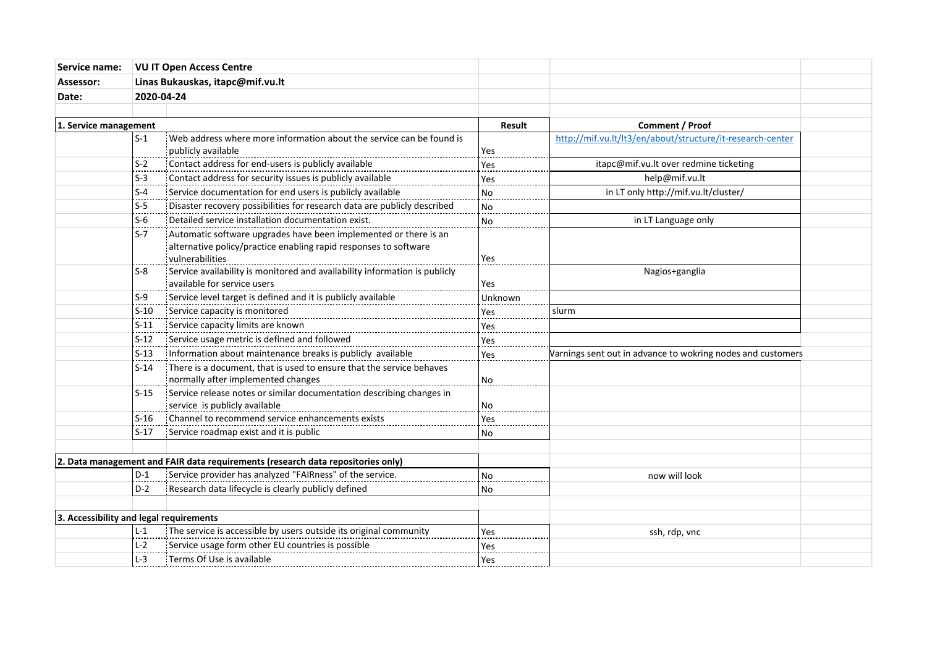| Service name:                                                                                                         | <b>VU IT Open Access Centre</b><br>Linas Bukauskas, itapc@mif.vu.lt |                                                                                                                                                         |                 |                                                             |  |
|-----------------------------------------------------------------------------------------------------------------------|---------------------------------------------------------------------|---------------------------------------------------------------------------------------------------------------------------------------------------------|-----------------|-------------------------------------------------------------|--|
| Assessor:                                                                                                             |                                                                     |                                                                                                                                                         |                 |                                                             |  |
| Date:                                                                                                                 | 2020-04-24                                                          |                                                                                                                                                         |                 |                                                             |  |
|                                                                                                                       |                                                                     |                                                                                                                                                         |                 |                                                             |  |
| 1. Service management                                                                                                 |                                                                     | Result                                                                                                                                                  | Comment / Proof |                                                             |  |
|                                                                                                                       | $S-1$                                                               | Web address where more information about the service can be found is<br>publicly available                                                              | Yes             | http://mif.vu.lt/lt3/en/about/structure/it-research-center  |  |
|                                                                                                                       | $S-2$                                                               | Contact address for end-users is publicly available                                                                                                     | Yes             | itapc@mif.vu.lt over redmine ticketing                      |  |
|                                                                                                                       | S-3                                                                 | Contact address for security issues is publicly available                                                                                               | Yes             | help@mif.vu.lt                                              |  |
|                                                                                                                       | $S-4$                                                               | Service documentation for end users is publicly available                                                                                               | <b>No</b>       | in LT only http://mif.vu.lt/cluster/                        |  |
|                                                                                                                       | $\mathsf{S}\text{-}\mathsf{S}$                                      | Disaster recovery possibilities for research data are publicly described                                                                                | N <sub>o</sub>  |                                                             |  |
|                                                                                                                       | $S-6$                                                               | Detailed service installation documentation exist.                                                                                                      | No              | in LT Language only                                         |  |
|                                                                                                                       | $S-7$                                                               | Automatic software upgrades have been implemented or there is an<br>alternative policy/practice enabling rapid responses to software<br>vulnerabilities | Yes             |                                                             |  |
|                                                                                                                       | $S-8$                                                               | Service availability is monitored and availability information is publicly<br>available for service users                                               | Yes             | Nagios+ganglia                                              |  |
|                                                                                                                       | $S-9$                                                               | Service level target is defined and it is publicly available                                                                                            | Unknown         |                                                             |  |
|                                                                                                                       | $S-10$                                                              | Service capacity is monitored                                                                                                                           | Yes             | slurm                                                       |  |
|                                                                                                                       | $S-11$                                                              | Service capacity limits are known                                                                                                                       | Yes             |                                                             |  |
|                                                                                                                       | $S-12$                                                              | Service usage metric is defined and followed                                                                                                            | Yes             |                                                             |  |
|                                                                                                                       | $S-13$                                                              | Information about maintenance breaks is publicly available                                                                                              | Yes             | Varnings sent out in advance to wokring nodes and customers |  |
|                                                                                                                       | $S-14$                                                              | There is a document, that is used to ensure that the service behaves<br>normally after implemented changes                                              | No.             |                                                             |  |
|                                                                                                                       | $S-15$                                                              | Service release notes or similar documentation describing changes in                                                                                    |                 |                                                             |  |
|                                                                                                                       |                                                                     | service is publicly available                                                                                                                           | No              |                                                             |  |
|                                                                                                                       | $S-16$                                                              | Channel to recommend service enhancements exists                                                                                                        | Yes             |                                                             |  |
|                                                                                                                       | $S-17$                                                              | Service roadmap exist and it is public                                                                                                                  | <b>No</b>       |                                                             |  |
|                                                                                                                       |                                                                     | 2. Data management and FAIR data requirements (research data repositories only)                                                                         |                 |                                                             |  |
|                                                                                                                       | $D-1$                                                               | Service provider has analyzed "FAIRness" of the service.                                                                                                | <b>No</b>       | now will look                                               |  |
|                                                                                                                       | $D-2$                                                               | Research data lifecycle is clearly publicly defined                                                                                                     | No              |                                                             |  |
|                                                                                                                       |                                                                     |                                                                                                                                                         |                 |                                                             |  |
| 3. Accessibility and legal requirements<br>$L-1$<br>The service is accessible by users outside its original community |                                                                     | Yes                                                                                                                                                     | ssh, rdp, vnc   |                                                             |  |
|                                                                                                                       | $L-2$                                                               | Exervice usage form other EU countries is possible                                                                                                      | Yes             |                                                             |  |
|                                                                                                                       | $L-3$                                                               | : Terms Of Use is available                                                                                                                             | Yes             |                                                             |  |
|                                                                                                                       |                                                                     |                                                                                                                                                         |                 |                                                             |  |